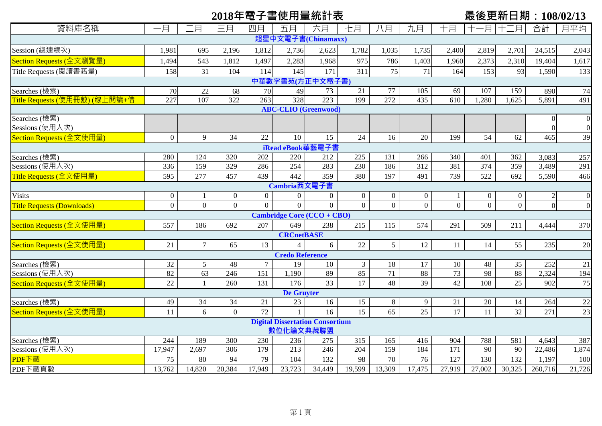# 2018年電子書使用量統計表<br> **■ 
2018年電子書使用量統計表**

| 資料庫名稱                               | -月               | .月              | 三月             | 四月       | 五月                     | 六月                                     | 七月             | 八月             | 九月               | 十月               | 月                 | .月<br>$+ \equiv$ | 合計             | 月平均             |
|-------------------------------------|------------------|-----------------|----------------|----------|------------------------|----------------------------------------|----------------|----------------|------------------|------------------|-------------------|------------------|----------------|-----------------|
|                                     |                  |                 |                |          |                        | 超星中文電子書(Chinamaxx)                     |                |                |                  |                  |                   |                  |                |                 |
| Session (總連線次)                      | 1,981            | 695             | 2,196          | 1,812    | 2,736                  | 2,623                                  | 1,782          | 1,035          | 1,735            | 2,400            | 2,819             | 2,701            | 24,515         | 2,043           |
| Section Requests (全文瀏覽量)            | 1,494            | 543             | 1,812          | 1,497    | 2,283                  | 1,968                                  | 975            | 786            | 1,403            | 1,960            | 2,373             | 2,310            | 19,404         | 1,617           |
| Title Requests (閱讀書籍量)              | 158              | 31              | 104            | 114      | 145                    | 171                                    | 311            | 75             | 71               | 164              | 153               | 93               | 1,590          | 133             |
| 中華數字書苑(方正中文電子書)                     |                  |                 |                |          |                        |                                        |                |                |                  |                  |                   |                  |                |                 |
| Searches (檢索)                       | 70               | 22              | 68             | 70       | 49                     | 73                                     | 21             | 77             | 105              | 69               | 107               | 159              | 890            | $\overline{74}$ |
| Title Requests (使用冊數) (線上閱讀+借       | 227              | 107             | 322            | 263      | 328                    | 223                                    | 199            | 272            | $\overline{435}$ | $\overline{610}$ | $\overline{.280}$ | .625             | 5,891          | 491             |
| <b>ABC-CLIO</b> (Greenwood)         |                  |                 |                |          |                        |                                        |                |                |                  |                  |                   |                  |                |                 |
| Searches (檢索)                       |                  |                 |                |          |                        |                                        |                |                |                  |                  |                   |                  | $\Omega$       |                 |
| Sessions (使用人次)                     |                  |                 |                |          |                        |                                        |                |                |                  |                  |                   |                  | $\overline{0}$ | $\Omega$        |
| Section Requests (全文使用量)            | $\overline{0}$   | 9               | 34             | 22       | 10                     | 15                                     | 24             | 16             | 20               | 199              | 54                | 62               | 465            | 39              |
|                                     |                  |                 |                |          | iRead eBook華藝電子書       |                                        |                |                |                  |                  |                   |                  |                |                 |
| Searches (檢索)                       | 280              | 124             | 320            | 202      | 220                    | 212                                    | 225            | 131            | 266              | 340              | 401               | 362              | 3,083          | 257             |
| Sessions (使用人次)                     | $\frac{1}{336}$  | 159             | 329            | 286      | 254                    | 283                                    | 230            | 186            | 312              | 381              | 374               | 359              | 3,489          | 291             |
| <mark>Title Requests (全文使用量)</mark> | 595              | 277             | 457            | 439      | 442                    | 359                                    | 380            | 197            | 491              | 739              | 522               | 692              | 5,590          | 466             |
|                                     |                  |                 |                |          | Cambria西文電子書           |                                        |                |                |                  |                  |                   |                  |                |                 |
| <b>Visits</b>                       | $\boldsymbol{0}$ |                 | $\overline{0}$ | $\Omega$ | $\overline{0}$         | $\overline{0}$                         | $\overline{0}$ | $\overline{0}$ | $\boldsymbol{0}$ |                  | $\mathbf{0}$      | $\overline{0}$   |                |                 |
| <b>Title Requests (Downloads)</b>   | $\overline{0}$   | $\overline{0}$  | $\overline{0}$ | $\Omega$ | $\Omega$               | $\overline{0}$                         | $\overline{0}$ | $\overline{0}$ | $\overline{0}$   | $\overline{0}$   | $\overline{0}$    | $\overline{0}$   | $\theta$       | $\theta$        |
|                                     |                  |                 |                |          |                        | <b>Cambridge Core (CCO + CBO)</b>      |                |                |                  |                  |                   |                  |                |                 |
| Section Requests (全文使用量)            | 557              | 186             | 692            | 207      | 649                    | 238                                    | 215            | 115            | 574              | 291              | 509               | 211              | 4,444          | 370             |
|                                     |                  |                 |                |          | <b>CRCnetBASE</b>      |                                        |                |                |                  |                  |                   |                  |                |                 |
| Section Requests (全文使用量)            | 21               | $7\overline{ }$ | 65             | 13       | $\overline{4}$         | 6                                      | 22             | 5 <sup>5</sup> | 12               | 11               | 14                | 55               | 235            | 20              |
|                                     |                  |                 |                |          | <b>Credo Reference</b> |                                        |                |                |                  |                  |                   |                  |                |                 |
| Searches (檢索)                       | 32               | $5\overline{)}$ | 48             | $\tau$   | 19                     | 10                                     | $\mathfrak{Z}$ | 18             | 17               | 10               | 48                | 35               | 252            | 21              |
| Sessions (使用人次)                     | 82               | $\overline{63}$ | 246            | 151      | 1,190                  | 89                                     | 85             | 71             | 88               | $\overline{73}$  | $\overline{98}$   | 88               | 2,324          | 194             |
| Section Requests (全文使用量)            | 22               | 1               | 260            | 131      | 176                    | 33                                     | 17             | 48             | 39               | 42               | 108               | 25               | 902            | 75              |
|                                     |                  |                 |                |          | <b>De Gruyter</b>      |                                        |                |                |                  |                  |                   |                  |                |                 |
| Searches (檢索)                       | 49               | 34              | 34             | 21       | $\overline{23}$        | 16                                     | 15             | 8              | 9                | 21               | $20\,$            | 14               | 264            | $\overline{22}$ |
| Section Requests (全文使用量)            | 11               | 6               | $\overline{0}$ | 72       |                        | 16                                     | 15             | 65             | 25               | 17               | 11                | 32               | 271            | 23              |
|                                     |                  |                 |                |          |                        | <b>Digital Dissertation Consortium</b> |                |                |                  |                  |                   |                  |                |                 |
|                                     |                  |                 |                |          | 數位化論文典藏聯盟              |                                        |                |                |                  |                  |                   |                  |                |                 |
| Searches (檢索)                       | 244              | 189             | 300            | 230      | 236                    | 275                                    | 315            | 165            | 416              | 904              | 788               | 581              | 4,643          | 387             |
| Sessions (使用人次)                     | 17,947           | 2,697           | 306            | 179      | $\overline{213}$       | 246                                    | 204            | 159            | 184              | $\overline{171}$ | 90                | $\overline{90}$  | 22,486         | 1,874           |
| PDF下載                               | 75               | 80              | 94             | 79       | 104                    | 132                                    | 98             | 70             | 76               | 127              | 130               | 132              | 1,197          | 100             |
| PDF下載頁數                             | 13,762           | 14,820          | 20,384         | 17,949   | 23,723                 | 34,449                                 | 19,599         | 13,309         | 17,475           | 27,919           | 27,002            | 30,325           | 260,716        | 21,726          |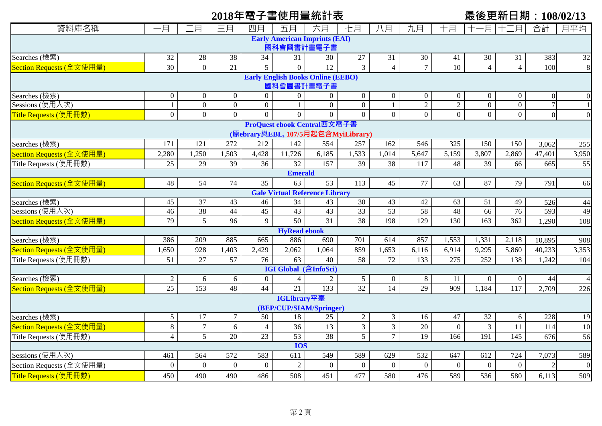# 2018年電子書使用量統計表<br> **■ 最後更新日期: 108/02/13**

| 資料庫名稱                                                             | 一月               | 二月               | 三月               | 四月              | 五月                           | 六月                                    | 七月              | 八月               | 九月                               | 十月               | $\pm$            | -月 十二月           | 合計             | 月平均              |
|-------------------------------------------------------------------|------------------|------------------|------------------|-----------------|------------------------------|---------------------------------------|-----------------|------------------|----------------------------------|------------------|------------------|------------------|----------------|------------------|
|                                                                   |                  |                  |                  |                 |                              | <b>Early American Imprints (EAI)</b>  |                 |                  |                                  |                  |                  |                  |                |                  |
| 國科會圖書計畫電子書                                                        |                  |                  |                  |                 |                              |                                       |                 |                  |                                  |                  |                  |                  |                |                  |
| Searches (檢索)                                                     | 32               | $28\,$           | 38               | $\overline{34}$ | 31                           | 30                                    | 27              | 31               | $\overline{30}$                  | 41               | 30               | 31               | 383            | 32               |
| Section Requests (全文使用量)                                          | 30               | $\overline{0}$   | 21               | 5 <sup>5</sup>  | $\overline{0}$               | 12                                    | $\overline{3}$  | $\overline{4}$   | $\overline{7}$                   | 10               | $\overline{4}$   | $\overline{4}$   | 100            | 8                |
| <b>Early English Books Online (EEBO)</b>                          |                  |                  |                  |                 |                              |                                       |                 |                  |                                  |                  |                  |                  |                |                  |
| 國科會圖書計畫電子書<br>Searches (檢索)                                       |                  |                  |                  |                 |                              |                                       |                 |                  |                                  |                  |                  |                  |                |                  |
|                                                                   | $\overline{0}$   | $\mathbf{0}$     | $\overline{0}$   | $\overline{0}$  | $\overline{0}$               | $\overline{0}$                        | $\overline{0}$  | $\overline{0}$   | $\boldsymbol{0}$                 | $\mathbf{0}$     | $\boldsymbol{0}$ | $\boldsymbol{0}$ | $\Omega$       | $\Omega$         |
| Sessions (使用人次)                                                   | $\mathbf{1}$     | $\overline{0}$   | $\overline{0}$   | $\mathbf{0}$    |                              | $\overline{0}$                        | $\overline{0}$  | $\mathbf{1}$     | $\overline{2}$<br>$\overline{0}$ | $\overline{2}$   | $\boldsymbol{0}$ | $\boldsymbol{0}$ | $\overline{7}$ |                  |
| Title Requests (使用冊數)                                             | $\overline{0}$   | $\boldsymbol{0}$ | $\Omega$         | $\Omega$        | $\Omega$                     | $\overline{0}$                        | $\overline{0}$  | $\overline{0}$   |                                  | $\overline{0}$   | $\overline{0}$   | $\overline{0}$   | $\Omega$       |                  |
| ProQuest ebook Central西文電子書<br>(原ebrary與EBL, 107/5月起包含MyiLibrary) |                  |                  |                  |                 |                              |                                       |                 |                  |                                  |                  |                  |                  |                |                  |
| Searches (檢索)                                                     | 171              | 121              | 272              | 212             |                              | 554                                   |                 | 162              | 546                              | 325              | 150              | 150              |                |                  |
| Section Requests (全文使用量)                                          | 2,280            | 1,250            | 1,503            | 4,428           | 142<br>11,726                | 6,185                                 | 257<br>1,533    | 1,014            | 5,647                            | 5,159            |                  |                  | 3,062          | 255              |
|                                                                   | 25               | 29               | 39               | 36              | 32                           | 157                                   | 39              | 38               | 117                              | 48               | 3,807<br>39      | 2,869<br>66      | 47,401<br>665  | 3,950            |
| Title Requests (使用冊數)                                             |                  |                  |                  |                 | <b>Emerald</b>               |                                       |                 |                  |                                  |                  |                  |                  |                | 55               |
| Section Requests (全文使用量)                                          | 48               | 54               | 74               | 35              | 63                           | 53                                    | 113             | 45               | 77                               | 63               | 87               | 79               | 791            | 66               |
|                                                                   |                  |                  |                  |                 |                              | <b>Gale Virtual Reference Library</b> |                 |                  |                                  |                  |                  |                  |                |                  |
| Searches (檢索)                                                     | 45               | $\overline{37}$  | 43               | 46              | $\overline{34}$              | 43                                    | $\overline{30}$ | 43               | 42                               | 63               | 51               | 49               | 526            | 44               |
| Sessions (使用人次)                                                   | 46               | 38               | 44               | $\overline{45}$ | 43                           | 43                                    | 33              | 53               | 58                               | 48               | 66               | 76               | 593            | 49               |
| Section Requests (全文使用量)                                          | 79               | $5\overline{)}$  | 96               | $\overline{9}$  | 50                           | 31                                    | 38              | 198              | 129                              | 130              | 163              | 362              | 1,290          | 108              |
|                                                                   |                  |                  |                  |                 | <b>HyRead ebook</b>          |                                       |                 |                  |                                  |                  |                  |                  |                |                  |
| Searches (檢索)                                                     | 386              | 209              | 885              | 665             | 886                          | 690                                   | 701             | 614              | 857                              | 1,553            | 1,331            | 2,118            | 10,895         | 908              |
| Section Requests (全文使用量)                                          | 1,650            | 928              | 1,403            | 2,429           | 2,062                        | 1,064                                 | 859             | 1,653            | 6,116                            | 6,914            | 9,295            | 5,860            | 40,233         | 3,353            |
| Title Requests (使用冊數)                                             | 51               | 27               | $\overline{57}$  | 76              | 63                           | 40                                    | $\overline{58}$ | $\overline{72}$  | 133                              | 275              | 252              | 138              | 1,242          | 104              |
|                                                                   |                  |                  |                  |                 | <b>IGI Global</b> (含InfoSci) |                                       |                 |                  |                                  |                  |                  |                  |                |                  |
| Searches (檢索)                                                     | $\overline{2}$   | 6                | 6                | $\overline{0}$  | $\overline{4}$               | $\overline{2}$                        | $5\overline{)}$ | $\overline{0}$   | 8                                | 11               | $\overline{0}$   | $\mathbf{0}$     | 44             | $\overline{A}$   |
| Section Requests (全文使用量)                                          | 25               | 153              | 48               | 44              | 21                           | 133                                   | $\overline{32}$ | 14               | 29                               | 909              | 1,184            | 117              | 2,709          | 226              |
|                                                                   |                  |                  |                  |                 | IGLibrary平臺                  |                                       |                 |                  |                                  |                  |                  |                  |                |                  |
|                                                                   |                  |                  |                  |                 |                              | (BEP/CUP/SIAM/Springer)               |                 |                  |                                  |                  |                  |                  |                |                  |
| Searches (檢索)                                                     | $5\overline{)}$  | 17               | $\overline{7}$   | 50              | 18                           | 25                                    | $\overline{c}$  | $\mathfrak{Z}$   | 16                               | 47               | 32               | 6                | 228            | 19               |
| Section Requests (全文使用量)                                          | 8                | $\overline{7}$   | 6                | $\overline{4}$  | 36                           | 13                                    | $\overline{3}$  | $\mathfrak{Z}$   | 20                               | $\boldsymbol{0}$ | 3                | 11               | 114            | 10               |
| Title Requests (使用冊數)                                             | $\overline{4}$   | $5\overline{)}$  | 20               | $\overline{23}$ | $\overline{53}$              | $\overline{38}$                       | 5               | $7\overline{ }$  | $\overline{19}$                  | 166              | 191              | 145              | 676            | 56               |
|                                                                   |                  |                  |                  |                 | <b>IOS</b>                   |                                       |                 |                  |                                  |                  |                  |                  |                |                  |
| Sessions (使用人次)                                                   | 461              | 564              | 572              | 583             | 611                          | 549                                   | 589             | 629              | 532                              | 647              | 612              | 724              | 7,073          | 589              |
| Section Requests (全文使用量)                                          | $\boldsymbol{0}$ | $\mathbf{0}$     | $\boldsymbol{0}$ | $\mathbf{0}$    | $\mathbf{2}$                 | $\mathbf{0}$                          | $\overline{0}$  | $\boldsymbol{0}$ | $\boldsymbol{0}$                 | $\mathbf{0}$     | $\overline{0}$   | $\boldsymbol{0}$ |                | $\boldsymbol{0}$ |
| Title Requests (使用冊數)                                             | 450              | 490              | 490              | 486             | 508                          | 451                                   | 477             | 580              | 476                              | 589              | 536              | 580              | 6,113          | 509              |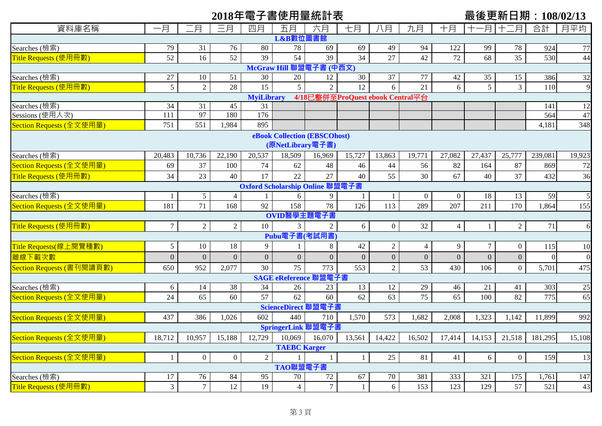# 2018年電子書使用量統計表<br> **■ 最後更新日期: 108/02/13**

| 資料庫名稱                        | 一月              | 月                | 三月             | 四月                | 五月                     | 六月                               | 七月              | 八月             | 九月               | 十月             | 可                | 月                | 合計       | 月平均             |
|------------------------------|-----------------|------------------|----------------|-------------------|------------------------|----------------------------------|-----------------|----------------|------------------|----------------|------------------|------------------|----------|-----------------|
|                              |                 |                  |                |                   | L&B數位圖書館               |                                  |                 |                |                  |                |                  |                  |          |                 |
| Searches (檢索)                | 79              | 31               | 76             | 80                | 78                     | 69                               | 69              | 49             | 94               | 122            | 99               | 78               | 924      | 77              |
| Title Requests (使用冊數)        | 52              | 16               | 52             | 39                | 54                     | 39                               | $\overline{34}$ | 27             | 42               | 72             | 68               | $\overline{35}$  | 530      | 44              |
| McGraw Hill 聯盟電子書 (中西文)      |                 |                  |                |                   |                        |                                  |                 |                |                  |                |                  |                  |          |                 |
| Searches (檢索)                | $27\,$          | 10               | 51             | 30                | 20                     | 12                               | 30              | 37             | 77               | $42\,$         | 35               | 15               | 386      | $\overline{32}$ |
| Title Requests (使用冊數)        | $5\overline{)}$ | $\overline{2}$   | 28             | 15                | 5 <sup>5</sup>         | $\overline{2}$                   | 12              | 6              | 21               | 6              | 5                | $\overline{3}$   | 110      | 9               |
|                              |                 |                  |                | <b>MyiLibrary</b> |                        | 4/18已整併至ProQuest ebook Central平台 |                 |                |                  |                |                  |                  |          |                 |
| Searches (檢索)                | 34              | 31               | 45             | 31                |                        |                                  |                 |                |                  |                |                  |                  | 141      | 12              |
| Sessions (使用人次)              | 111             | 97               | 180            | 176               |                        |                                  |                 |                |                  |                |                  |                  | 564      | 47              |
| Section Requests (全文使用量)     | 751             | 551              | 1,984          | 895               |                        |                                  |                 |                |                  |                |                  |                  | 4,181    | 348             |
| eBook Collection (EBSCOhost) |                 |                  |                |                   |                        |                                  |                 |                |                  |                |                  |                  |          |                 |
| (原NetLibrary電子書)             |                 |                  |                |                   |                        |                                  |                 |                |                  |                |                  |                  |          |                 |
| Searches (檢索)                | 20,483          | 10,736           | 22,190         | 20,537            | 18,509                 | 16,969                           | 15,727          | 13,863         | 19,771           | 27,082         | 27,437           | 25,777           | 239,081  | 19,923          |
| Section Requests (全文使用量      | 69              | 37               | 100            | 74                | 62                     | 48                               | 46              | 44             | 56               | 82             | 164              | 87               | 869      | 72              |
| Title Requests (使用冊數)        | 34              | 23               | 40             | 17                | 22                     | 27                               | 40              | 55             | 30               | 67             | 40               | 37               | 432      | 36              |
|                              |                 |                  |                |                   |                        | Oxford Scholarship Online 聯盟電子書  |                 |                |                  |                |                  |                  |          |                 |
| Searches (檢索)                |                 | $5\overline{)}$  | $\overline{4}$ |                   | 6                      | 9                                | 1               |                | $\mathbf{0}$     | $\overline{0}$ | 18               | 13               | 59       | 5               |
| Section Requests (全文使用量)     | 181             | 71               | 168            | 92                | 158                    | 78                               | 126             | 113            | 289              | 207            | 211              | 170              | 1,864    | 155             |
|                              |                 |                  |                |                   | OVID醫學主題電子書            |                                  |                 |                |                  |                |                  |                  |          |                 |
| Title Requests (使用冊數)        | 7 <sup>1</sup>  | $\overline{2}$   | $\overline{2}$ | 10                | 3 <sup>1</sup>         | $\sqrt{2}$                       | 6               | $\overline{0}$ | 32               | $\overline{4}$ | $\mathbf{1}$     | $\sqrt{2}$       | $71\,$   | 6               |
|                              |                 |                  |                |                   | Pubu電子書(考試用書)          |                                  |                 |                |                  |                |                  |                  |          |                 |
| Title Requests(線上閱覽種數)       | $5\phantom{.0}$ | 10               | 18             | 9                 |                        | 8                                | 42              | 2              | $\overline{4}$   | $\overline{9}$ | $\tau$           | $\boldsymbol{0}$ | 115      | 10              |
| 離線下載次數                       | $\overline{0}$  | $\overline{0}$   | $\overline{0}$ | $\overline{0}$    | $\overline{0}$         | $\mathbf{0}$                     | $\overline{0}$  | $\overline{0}$ | $\boldsymbol{0}$ | $\mathbf{0}$   | $\boldsymbol{0}$ | $\boldsymbol{0}$ | $\Omega$ | $\overline{0}$  |
| Section Requests (書刊閱讀頁數)    | 650             | 952              | 2,077          | 30                | 75                     | 773                              | 553             | $\overline{2}$ | 53               | 430            | 106              | $\overline{0}$   | 5,701    | 475             |
|                              |                 |                  |                |                   | <b>SAGE</b> eReference | <b>"盟電子</b>                      |                 |                |                  |                |                  |                  |          |                 |
| Searches (檢索)                | 6               | 14               | 38             | 34                | 26                     | 23                               | 13              | 12             | 29               | 46             | 21               | 41               | 303      | 25              |
| Section Requests (全文使用量)     | 24              | 65               | 60             | 57                | 62                     | 60                               | 62              | 63             | $\overline{75}$  | 65             | 100              | 82               | 775      | 65              |
|                              |                 |                  |                |                   | ScienceDirect 聯盟電子     |                                  |                 |                |                  |                |                  |                  |          |                 |
| Section Requests (全文使用量)     | 437             | 386              | 1,026          | 602               | 440                    | 710                              | 1,570           | 573            | 1,682            | 2,008          | 1,323            | 1,142            | 11,899   | 992             |
|                              |                 |                  |                |                   | SpringerLink 聯盟電子      |                                  |                 |                |                  |                |                  |                  |          |                 |
| Section Requests (全文使用量)     | 18,712          | 10,957           | 15,188         | 12,729            | 10,069                 | 16,070                           | 13,561          | 14,422         | 16,502           | 17,414         | 14,153           | 21,518           | 181,295  | 15,108          |
|                              |                 |                  |                |                   | <b>TAEBC Karger</b>    |                                  |                 |                |                  |                |                  |                  |          |                 |
| Section Requests (全文使用量)     | $\mathbf{1}$    | $\boldsymbol{0}$ | $\overline{0}$ | 2                 |                        |                                  | $\mathbf{1}$    | 25             | 81               | 41             | 6                | $\mathbf{0}$     | 159      | 13              |
|                              |                 |                  |                |                   | TAO聯盟電子書               |                                  |                 |                |                  |                |                  |                  |          |                 |
| Searches (檢索)                | 17              | 76               | 84             | 95                | 70                     | 72                               | 67              | 70             | 381              | 333            | 321              | 175              | 1,761    | 147             |
| Title Requests (使用冊數)        | $\mathfrak{Z}$  | $\overline{7}$   | 12             | 19                | $\overline{4}$         | $\overline{7}$                   | $\mathbf{1}$    | 6              | 153              | 123            | 129              | 57               | 521      | 43              |